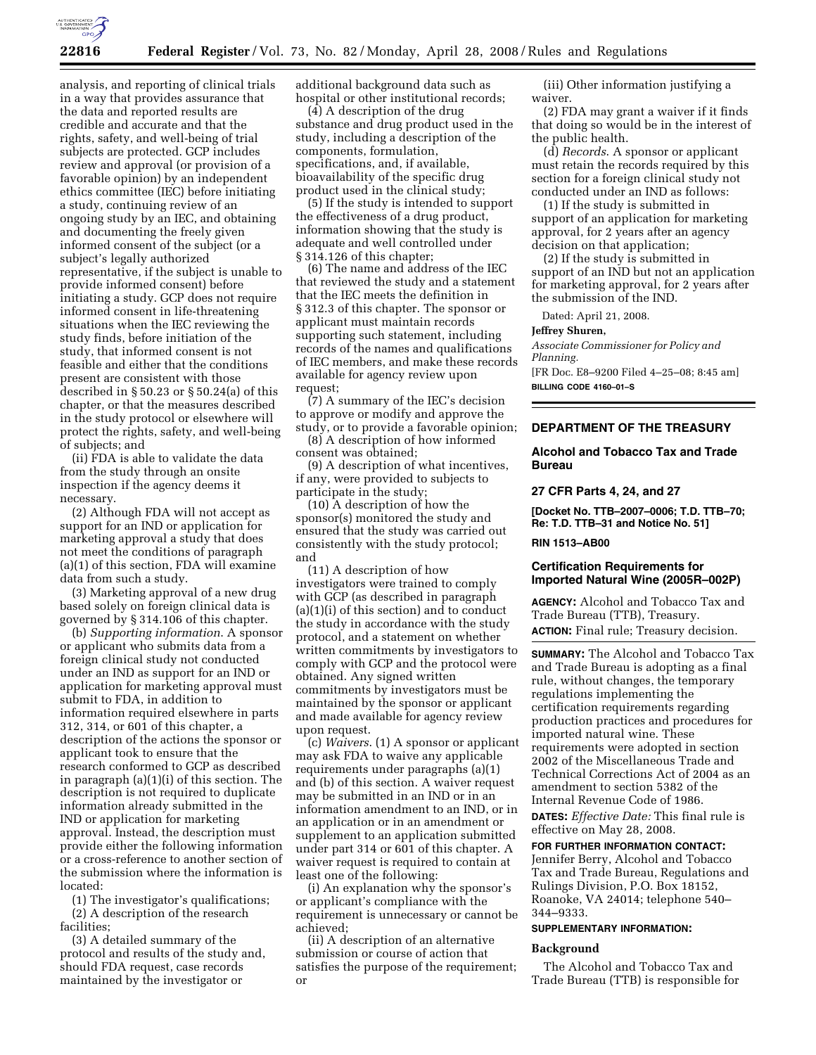

analysis, and reporting of clinical trials in a way that provides assurance that the data and reported results are credible and accurate and that the rights, safety, and well-being of trial subjects are protected. GCP includes review and approval (or provision of a favorable opinion) by an independent ethics committee (IEC) before initiating a study, continuing review of an ongoing study by an IEC, and obtaining and documenting the freely given informed consent of the subject (or a subject's legally authorized representative, if the subject is unable to provide informed consent) before initiating a study. GCP does not require informed consent in life-threatening situations when the IEC reviewing the study finds, before initiation of the study, that informed consent is not feasible and either that the conditions present are consistent with those described in § 50.23 or § 50.24(a) of this chapter, or that the measures described in the study protocol or elsewhere will protect the rights, safety, and well-being of subjects; and

(ii) FDA is able to validate the data from the study through an onsite inspection if the agency deems it necessary.

(2) Although FDA will not accept as support for an IND or application for marketing approval a study that does not meet the conditions of paragraph (a)(1) of this section, FDA will examine data from such a study.

(3) Marketing approval of a new drug based solely on foreign clinical data is governed by § 314.106 of this chapter.

(b) *Supporting information*. A sponsor or applicant who submits data from a foreign clinical study not conducted under an IND as support for an IND or application for marketing approval must submit to FDA, in addition to information required elsewhere in parts 312, 314, or 601 of this chapter, a description of the actions the sponsor or applicant took to ensure that the research conformed to GCP as described in paragraph (a)(1)(i) of this section. The description is not required to duplicate information already submitted in the IND or application for marketing approval. Instead, the description must provide either the following information or a cross-reference to another section of the submission where the information is located:

(1) The investigator's qualifications; (2) A description of the research facilities;

(3) A detailed summary of the protocol and results of the study and, should FDA request, case records maintained by the investigator or

additional background data such as hospital or other institutional records;

(4) A description of the drug substance and drug product used in the study, including a description of the components, formulation, specifications, and, if available, bioavailability of the specific drug product used in the clinical study;

(5) If the study is intended to support the effectiveness of a drug product, information showing that the study is adequate and well controlled under § 314.126 of this chapter;

(6) The name and address of the IEC that reviewed the study and a statement that the IEC meets the definition in § 312.3 of this chapter. The sponsor or applicant must maintain records supporting such statement, including records of the names and qualifications of IEC members, and make these records available for agency review upon request;

(7) A summary of the IEC's decision to approve or modify and approve the study, or to provide a favorable opinion;

(8) A description of how informed consent was obtained;

(9) A description of what incentives, if any, were provided to subjects to participate in the study;

(10) A description of how the sponsor(s) monitored the study and ensured that the study was carried out consistently with the study protocol; and

(11) A description of how investigators were trained to comply with GCP (as described in paragraph (a)(1)(i) of this section) and to conduct the study in accordance with the study protocol, and a statement on whether written commitments by investigators to comply with GCP and the protocol were obtained. Any signed written commitments by investigators must be maintained by the sponsor or applicant and made available for agency review upon request.

(c) *Waivers*. (1) A sponsor or applicant may ask FDA to waive any applicable requirements under paragraphs (a)(1) and (b) of this section. A waiver request may be submitted in an IND or in an information amendment to an IND, or in an application or in an amendment or supplement to an application submitted under part 314 or 601 of this chapter. A waiver request is required to contain at least one of the following:

(i) An explanation why the sponsor's or applicant's compliance with the requirement is unnecessary or cannot be achieved;

(ii) A description of an alternative submission or course of action that satisfies the purpose of the requirement; or

(iii) Other information justifying a waiver.

(2) FDA may grant a waiver if it finds that doing so would be in the interest of the public health.

(d) *Records*. A sponsor or applicant must retain the records required by this section for a foreign clinical study not conducted under an IND as follows:

(1) If the study is submitted in support of an application for marketing approval, for 2 years after an agency decision on that application;

(2) If the study is submitted in support of an IND but not an application for marketing approval, for 2 years after the submission of the IND.

Dated: April 21, 2008.

## **Jeffrey Shuren,**

*Associate Commissioner for Policy and Planning.* 

[FR Doc. E8–9200 Filed 4–25–08; 8:45 am] **BILLING CODE 4160–01–S** 

## **DEPARTMENT OF THE TREASURY**

# **Alcohol and Tobacco Tax and Trade Bureau**

#### **27 CFR Parts 4, 24, and 27**

**[Docket No. TTB–2007–0006; T.D. TTB–70; Re: T.D. TTB–31 and Notice No. 51]** 

#### **RIN 1513–AB00**

# **Certification Requirements for Imported Natural Wine (2005R–002P)**

**AGENCY:** Alcohol and Tobacco Tax and Trade Bureau (TTB), Treasury. **ACTION:** Final rule; Treasury decision.

**SUMMARY:** The Alcohol and Tobacco Tax and Trade Bureau is adopting as a final rule, without changes, the temporary regulations implementing the certification requirements regarding production practices and procedures for imported natural wine. These requirements were adopted in section 2002 of the Miscellaneous Trade and Technical Corrections Act of 2004 as an amendment to section 5382 of the Internal Revenue Code of 1986.

**DATES:** *Effective Date:* This final rule is effective on May 28, 2008.

# **FOR FURTHER INFORMATION CONTACT:**

Jennifer Berry, Alcohol and Tobacco Tax and Trade Bureau, Regulations and Rulings Division, P.O. Box 18152, Roanoke, VA 24014; telephone 540– 344–9333.

## **SUPPLEMENTARY INFORMATION:**

#### **Background**

The Alcohol and Tobacco Tax and Trade Bureau (TTB) is responsible for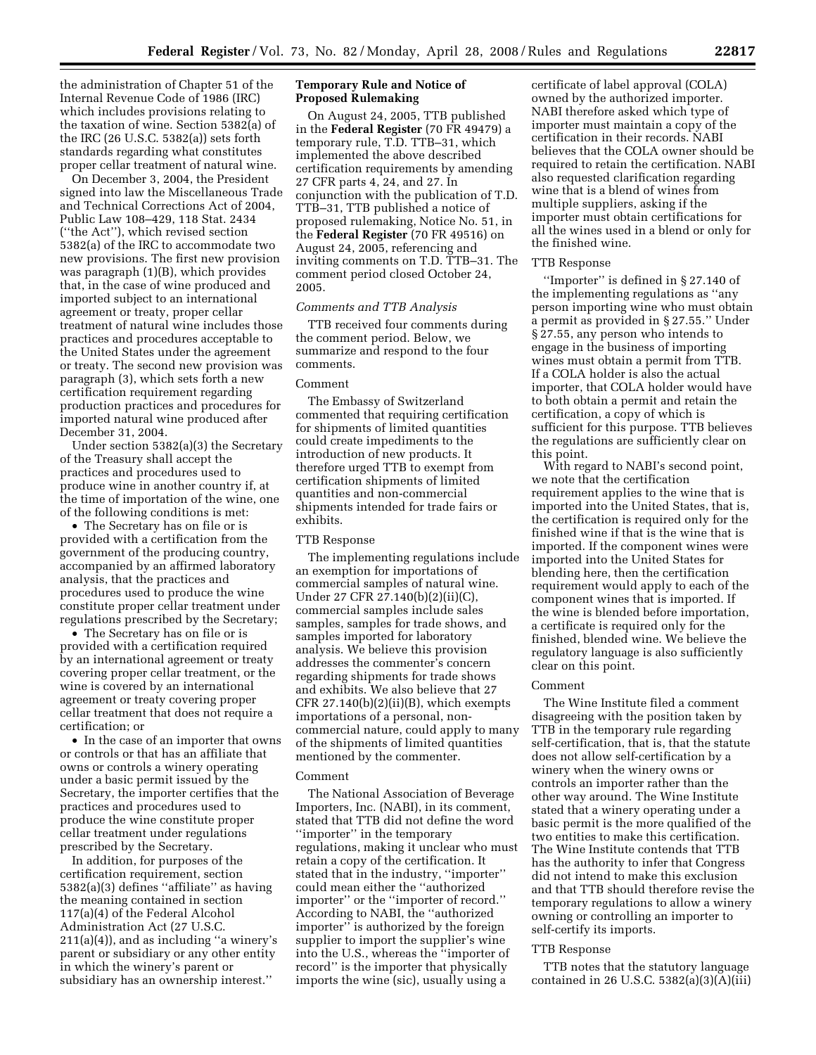the administration of Chapter 51 of the Internal Revenue Code of 1986 (IRC) which includes provisions relating to the taxation of wine. Section 5382(a) of the IRC (26 U.S.C. 5382(a)) sets forth standards regarding what constitutes proper cellar treatment of natural wine.

On December 3, 2004, the President signed into law the Miscellaneous Trade and Technical Corrections Act of 2004, Public Law 108–429, 118 Stat. 2434 (''the Act''), which revised section 5382(a) of the IRC to accommodate two new provisions. The first new provision was paragraph (1)(B), which provides that, in the case of wine produced and imported subject to an international agreement or treaty, proper cellar treatment of natural wine includes those practices and procedures acceptable to the United States under the agreement or treaty. The second new provision was paragraph (3), which sets forth a new certification requirement regarding production practices and procedures for imported natural wine produced after December 31, 2004.

Under section 5382(a)(3) the Secretary of the Treasury shall accept the practices and procedures used to produce wine in another country if, at the time of importation of the wine, one of the following conditions is met:

• The Secretary has on file or is provided with a certification from the government of the producing country, accompanied by an affirmed laboratory analysis, that the practices and procedures used to produce the wine constitute proper cellar treatment under regulations prescribed by the Secretary;

• The Secretary has on file or is provided with a certification required by an international agreement or treaty covering proper cellar treatment, or the wine is covered by an international agreement or treaty covering proper cellar treatment that does not require a certification; or

• In the case of an importer that owns or controls or that has an affiliate that owns or controls a winery operating under a basic permit issued by the Secretary, the importer certifies that the practices and procedures used to produce the wine constitute proper cellar treatment under regulations prescribed by the Secretary.

In addition, for purposes of the certification requirement, section 5382(a)(3) defines ''affiliate'' as having the meaning contained in section 117(a)(4) of the Federal Alcohol Administration Act (27 U.S.C. 211(a)(4)), and as including ''a winery's parent or subsidiary or any other entity in which the winery's parent or subsidiary has an ownership interest.''

# **Temporary Rule and Notice of Proposed Rulemaking**

On August 24, 2005, TTB published in the **Federal Register** (70 FR 49479) a temporary rule, T.D. TTB–31, which implemented the above described certification requirements by amending 27 CFR parts 4, 24, and 27. In conjunction with the publication of T.D. TTB–31, TTB published a notice of proposed rulemaking, Notice No. 51, in the **Federal Register** (70 FR 49516) on August 24, 2005, referencing and inviting comments on T.D. TTB–31. The comment period closed October 24, 2005.

# *Comments and TTB Analysis*

TTB received four comments during the comment period. Below, we summarize and respond to the four comments.

# Comment

The Embassy of Switzerland commented that requiring certification for shipments of limited quantities could create impediments to the introduction of new products. It therefore urged TTB to exempt from certification shipments of limited quantities and non-commercial shipments intended for trade fairs or exhibits.

### TTB Response

The implementing regulations include an exemption for importations of commercial samples of natural wine. Under 27 CFR 27.140(b)(2)(ii)(C), commercial samples include sales samples, samples for trade shows, and samples imported for laboratory analysis. We believe this provision addresses the commenter's concern regarding shipments for trade shows and exhibits. We also believe that 27 CFR  $27.140(b)(2)(ii)(B)$ , which exempts importations of a personal, noncommercial nature, could apply to many of the shipments of limited quantities mentioned by the commenter.

#### Comment

The National Association of Beverage Importers, Inc. (NABI), in its comment, stated that TTB did not define the word ''importer'' in the temporary regulations, making it unclear who must retain a copy of the certification. It stated that in the industry, ''importer'' could mean either the ''authorized importer'' or the ''importer of record.'' According to NABI, the ''authorized importer'' is authorized by the foreign supplier to import the supplier's wine into the U.S., whereas the ''importer of record'' is the importer that physically imports the wine (sic), usually using a

certificate of label approval (COLA) owned by the authorized importer. NABI therefore asked which type of importer must maintain a copy of the certification in their records. NABI believes that the COLA owner should be required to retain the certification. NABI also requested clarification regarding wine that is a blend of wines from multiple suppliers, asking if the importer must obtain certifications for all the wines used in a blend or only for the finished wine.

# TTB Response

''Importer'' is defined in § 27.140 of the implementing regulations as ''any person importing wine who must obtain a permit as provided in § 27.55.'' Under § 27.55, any person who intends to engage in the business of importing wines must obtain a permit from TTB. If a COLA holder is also the actual importer, that COLA holder would have to both obtain a permit and retain the certification, a copy of which is sufficient for this purpose. TTB believes the regulations are sufficiently clear on this point.

With regard to NABI's second point, we note that the certification requirement applies to the wine that is imported into the United States, that is, the certification is required only for the finished wine if that is the wine that is imported. If the component wines were imported into the United States for blending here, then the certification requirement would apply to each of the component wines that is imported. If the wine is blended before importation, a certificate is required only for the finished, blended wine. We believe the regulatory language is also sufficiently clear on this point.

#### Comment

The Wine Institute filed a comment disagreeing with the position taken by TTB in the temporary rule regarding self-certification, that is, that the statute does not allow self-certification by a winery when the winery owns or controls an importer rather than the other way around. The Wine Institute stated that a winery operating under a basic permit is the more qualified of the two entities to make this certification. The Wine Institute contends that TTB has the authority to infer that Congress did not intend to make this exclusion and that TTB should therefore revise the temporary regulations to allow a winery owning or controlling an importer to self-certify its imports.

#### TTB Response

TTB notes that the statutory language contained in 26 U.S.C. 5382(a)(3)(A)(iii)